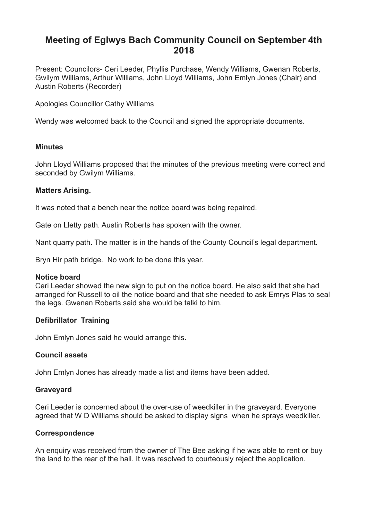# **Meeting of Eglwys Bach Community Council on September 4th 2018**

Present: Councilors- Ceri Leeder, Phyllis Purchase, Wendy Williams, Gwenan Roberts, Gwilym Williams, Arthur Williams, John Lloyd Williams, John Emlyn Jones (Chair) and Austin Roberts (Recorder)

Apologies Councillor Cathy Williams

Wendy was welcomed back to the Council and signed the appropriate documents.

## **Minutes**

John Lloyd Williams proposed that the minutes of the previous meeting were correct and seconded by Gwilym Williams.

## **Matters Arising.**

It was noted that a bench near the notice board was being repaired.

Gate on Lletty path. Austin Roberts has spoken with the owner.

Nant quarry path. The matter is in the hands of the County Council's legal department.

Bryn Hir path bridge. No work to be done this year.

## **Notice board**

Ceri Leeder showed the new sign to put on the notice board. He also said that she had arranged for Russell to oil the notice board and that she needed to ask Emrys Plas to seal the legs. Gwenan Roberts said she would be talki to him.

## **Defibrillator Training**

John Emlyn Jones said he would arrange this.

## **Council assets**

John Emlyn Jones has already made a list and items have been added.

## **Graveyard**

Ceri Leeder is concerned about the over-use of weedkiller in the graveyard. Everyone agreed that W D Williams should be asked to display signs when he sprays weedkiller.

## **Correspondence**

An enquiry was received from the owner of The Bee asking if he was able to rent or buy the land to the rear of the hall. It was resolved to courteously reject the application.